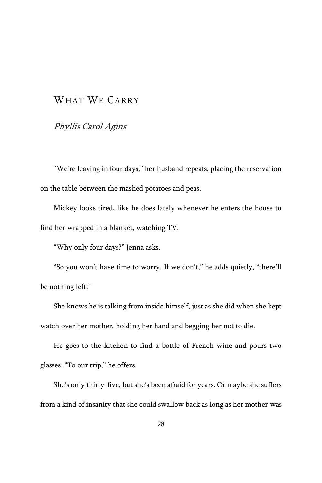# WHAT WE CARRY

## Phyllis Carol Agins

"We're leaving in four days," her husband repeats, placing the reservation on the table between the mashed potatoes and peas.

Mickey looks tired, like he does lately whenever he enters the house to find her wrapped in a blanket, watching TV.

"Why only four days?" Jenna asks.

"So you won't have time to worry. If we don't," he adds quietly, "there'll be nothing left."

She knows he is talking from inside himself, just as she did when she kept watch over her mother, holding her hand and begging her not to die.

He goes to the kitchen to find a bottle of French wine and pours two glasses. "To our trip," he offers.

She's only thirty-five, but she's been afraid for years. Or maybe she suffers from a kind of insanity that she could swallow back as long as her mother was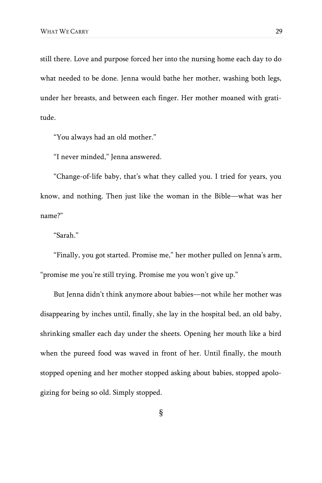still there. Love and purpose forced her into the nursing home each day to do what needed to be done. Jenna would bathe her mother, washing both legs, under her breasts, and between each finger. Her mother moaned with gratitude.

"You always had an old mother."

"I never minded," Jenna answered.

"Change-of-life baby, that's what they called you. I tried for years, you know, and nothing. Then just like the woman in the Bible—what was her name?"

"Sarah."

"Finally, you got started. Promise me," her mother pulled on Jenna's arm, "promise me you're still trying. Promise me you won't give up."

But Jenna didn't think anymore about babies—not while her mother was disappearing by inches until, finally, she lay in the hospital bed, an old baby, shrinking smaller each day under the sheets. Opening her mouth like a bird when the pureed food was waved in front of her. Until finally, the mouth stopped opening and her mother stopped asking about babies, stopped apologizing for being so old. Simply stopped.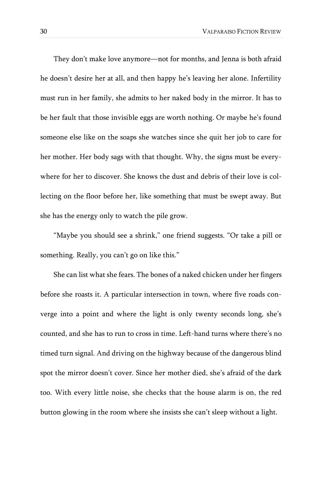They don't make love anymore—not for months, and Jenna is both afraid he doesn't desire her at all, and then happy he's leaving her alone. Infertility must run in her family, she admits to her naked body in the mirror. It has to be her fault that those invisible eggs are worth nothing. Or maybe he's found someone else like on the soaps she watches since she quit her job to care for her mother. Her body sags with that thought. Why, the signs must be everywhere for her to discover. She knows the dust and debris of their love is collecting on the floor before her, like something that must be swept away. But she has the energy only to watch the pile grow.

"Maybe you should see a shrink," one friend suggests. "Or take a pill or something. Really, you can't go on like this."

She can list what she fears. The bones of a naked chicken under her fingers before she roasts it. A particular intersection in town, where five roads converge into a point and where the light is only twenty seconds long, she's counted, and she has to run to cross in time. Left-hand turns where there's no timed turn signal. And driving on the highway because of the dangerous blind spot the mirror doesn't cover. Since her mother died, she's afraid of the dark too. With every little noise, she checks that the house alarm is on, the red button glowing in the room where she insists she can't sleep without a light.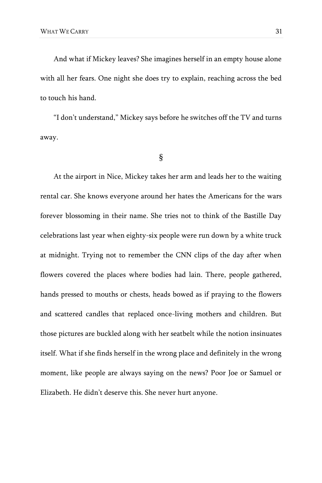And what if Mickey leaves? She imagines herself in an empty house alone with all her fears. One night she does try to explain, reaching across the bed to touch his hand.

"I don't understand," Mickey says before he switches off the TV and turns away.

#### §

At the airport in Nice, Mickey takes her arm and leads her to the waiting rental car. She knows everyone around her hates the Americans for the wars forever blossoming in their name. She tries not to think of the Bastille Day celebrations last year when eighty-six people were run down by a white truck at midnight. Trying not to remember the CNN clips of the day after when flowers covered the places where bodies had lain. There, people gathered, hands pressed to mouths or chests, heads bowed as if praying to the flowers and scattered candles that replaced once-living mothers and children. But those pictures are buckled along with her seatbelt while the notion insinuates itself. What if she finds herself in the wrong place and definitely in the wrong moment, like people are always saying on the news? Poor Joe or Samuel or Elizabeth. He didn't deserve this. She never hurt anyone.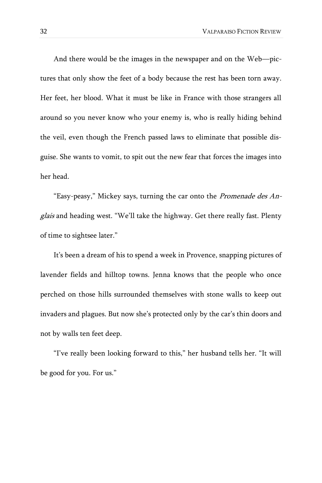And there would be the images in the newspaper and on the Web—pictures that only show the feet of a body because the rest has been torn away. Her feet, her blood. What it must be like in France with those strangers all around so you never know who your enemy is, who is really hiding behind the veil, even though the French passed laws to eliminate that possible disguise. She wants to vomit, to spit out the new fear that forces the images into her head.

"Easy-peasy," Mickey says, turning the car onto the Promenade des Anglais and heading west. "We'll take the highway. Get there really fast. Plenty of time to sightsee later."

It's been a dream of his to spend a week in Provence, snapping pictures of lavender fields and hilltop towns. Jenna knows that the people who once perched on those hills surrounded themselves with stone walls to keep out invaders and plagues. But now she's protected only by the car's thin doors and not by walls ten feet deep.

"I've really been looking forward to this," her husband tells her. "It will be good for you. For us."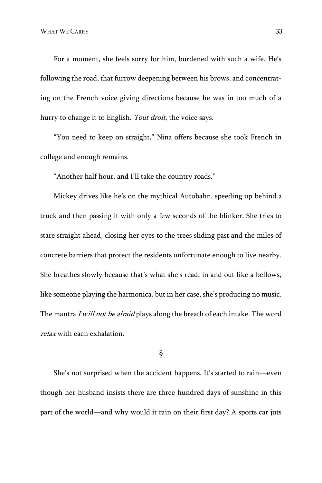For a moment, she feels sorry for him, burdened with such a wife. He's following the road, that furrow deepening between his brows, and concentrating on the French voice giving directions because he was in too much of a hurry to change it to English. Tout droit, the voice says.

"You need to keep on straight," Nina offers because she took French in college and enough remains.

"Another half hour, and I'll take the country roads."

Mickey drives like he's on the mythical Autobahn, speeding up behind a truck and then passing it with only a few seconds of the blinker. She tries to stare straight ahead, closing her eyes to the trees sliding past and the miles of concrete barriers that protect the residents unfortunate enough to live nearby. She breathes slowly because that's what she's read, in and out like a bellows, like someone playing the harmonica, but in her case, she's producing no music. The mantra I will not be afraid plays along the breath of each intake. The word relax with each exhalation.

#### §

She's not surprised when the accident happens. It's started to rain—even though her husband insists there are three hundred days of sunshine in this part of the world—and why would it rain on their first day? A sports car juts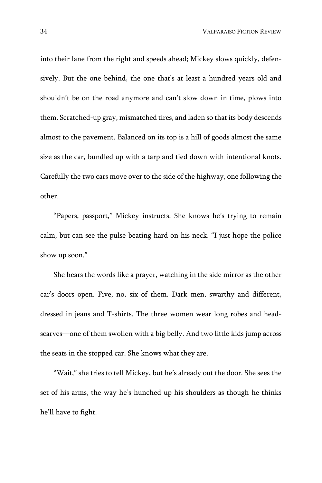into their lane from the right and speeds ahead; Mickey slows quickly, defensively. But the one behind, the one that's at least a hundred years old and shouldn't be on the road anymore and can't slow down in time, plows into them. Scratched-up gray, mismatched tires, and laden so that its body descends almost to the pavement. Balanced on its top is a hill of goods almost the same size as the car, bundled up with a tarp and tied down with intentional knots. Carefully the two cars move over to the side of the highway, one following the other.

"Papers, passport," Mickey instructs. She knows he's trying to remain calm, but can see the pulse beating hard on his neck. "I just hope the police show up soon."

She hears the words like a prayer, watching in the side mirror as the other car's doors open. Five, no, six of them. Dark men, swarthy and different, dressed in jeans and T-shirts. The three women wear long robes and headscarves—one of them swollen with a big belly. And two little kids jump across the seats in the stopped car. She knows what they are.

"Wait," she tries to tell Mickey, but he's already out the door. She sees the set of his arms, the way he's hunched up his shoulders as though he thinks he'll have to fight.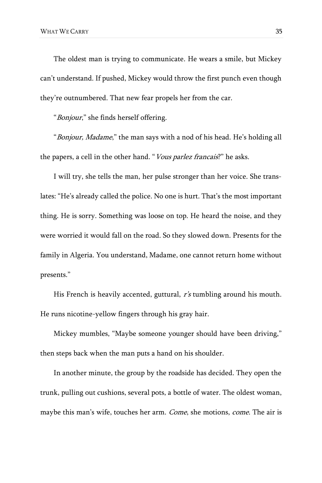The oldest man is trying to communicate. He wears a smile, but Mickey can't understand. If pushed, Mickey would throw the first punch even though they're outnumbered. That new fear propels her from the car.

"Bonjour," she finds herself offering.

"Bonjour, Madame," the man says with a nod of his head. He's holding all the papers, a cell in the other hand. "Vous parlez francais?" he asks.

I will try, she tells the man, her pulse stronger than her voice. She translates: "He's already called the police. No one is hurt. That's the most important thing. He is sorry. Something was loose on top. He heard the noise, and they were worried it would fall on the road. So they slowed down. Presents for the family in Algeria. You understand, Madame, one cannot return home without presents."

His French is heavily accented, guttural, r's tumbling around his mouth. He runs nicotine-yellow fingers through his gray hair.

Mickey mumbles, "Maybe someone younger should have been driving," then steps back when the man puts a hand on his shoulder.

In another minute, the group by the roadside has decided. They open the trunk, pulling out cushions, several pots, a bottle of water. The oldest woman, maybe this man's wife, touches her arm. Come, she motions, come. The air is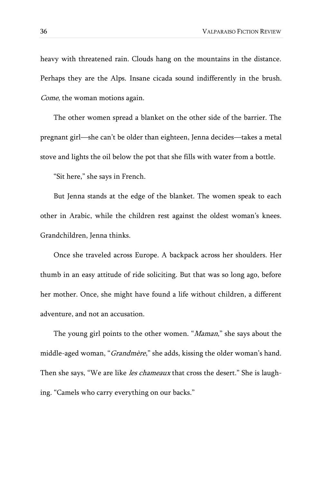heavy with threatened rain. Clouds hang on the mountains in the distance. Perhaps they are the Alps. Insane cicada sound indifferently in the brush. Come, the woman motions again.

The other women spread a blanket on the other side of the barrier. The pregnant girl—she can't be older than eighteen, Jenna decides—takes a metal stove and lights the oil below the pot that she fills with water from a bottle.

"Sit here," she says in French.

But Jenna stands at the edge of the blanket. The women speak to each other in Arabic, while the children rest against the oldest woman's knees. Grandchildren, Jenna thinks.

Once she traveled across Europe. A backpack across her shoulders. Her thumb in an easy attitude of ride soliciting. But that was so long ago, before her mother. Once, she might have found a life without children, a different adventure, and not an accusation.

The young girl points to the other women. "Maman," she says about the middle-aged woman, "Grandmère," she adds, kissing the older woman's hand. Then she says, "We are like *les chameaux* that cross the desert." She is laughing. "Camels who carry everything on our backs."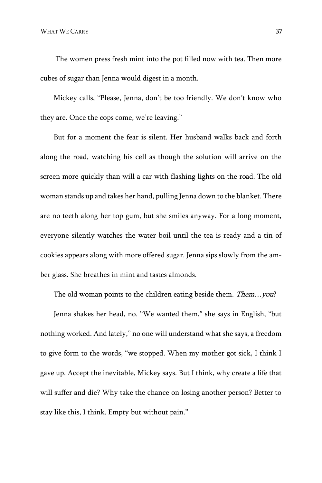The women press fresh mint into the pot filled now with tea. Then more cubes of sugar than Jenna would digest in a month.

Mickey calls, "Please, Jenna, don't be too friendly. We don't know who they are. Once the cops come, we're leaving."

But for a moment the fear is silent. Her husband walks back and forth along the road, watching his cell as though the solution will arrive on the screen more quickly than will a car with flashing lights on the road. The old woman stands up and takes her hand, pulling Jenna down to the blanket. There are no teeth along her top gum, but she smiles anyway. For a long moment, everyone silently watches the water boil until the tea is ready and a tin of cookies appears along with more offered sugar. Jenna sips slowly from the amber glass. She breathes in mint and tastes almonds.

The old woman points to the children eating beside them. Them...you?

Jenna shakes her head, no. "We wanted them," she says in English, "but nothing worked. And lately," no one will understand what she says, a freedom to give form to the words, "we stopped. When my mother got sick, I think I gave up. Accept the inevitable, Mickey says. But I think, why create a life that will suffer and die? Why take the chance on losing another person? Better to stay like this, I think. Empty but without pain."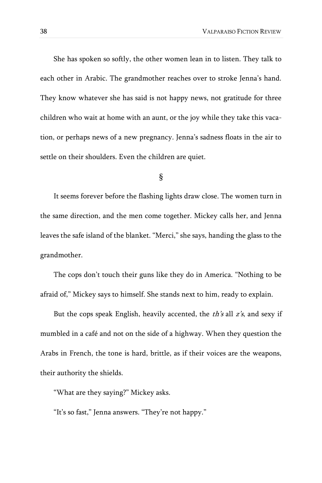She has spoken so softly, the other women lean in to listen. They talk to each other in Arabic. The grandmother reaches over to stroke Jenna's hand. They know whatever she has said is not happy news, not gratitude for three children who wait at home with an aunt, or the joy while they take this vacation, or perhaps news of a new pregnancy. Jenna's sadness floats in the air to settle on their shoulders. Even the children are quiet.

### §

It seems forever before the flashing lights draw close. The women turn in the same direction, and the men come together. Mickey calls her, and Jenna leaves the safe island of the blanket. "Merci," she says, handing the glass to the grandmother.

The cops don't touch their guns like they do in America. "Nothing to be afraid of," Mickey says to himself. She stands next to him, ready to explain.

But the cops speak English, heavily accented, the  $th's$  all  $z's$ , and sexy if mumbled in a café and not on the side of a highway. When they question the Arabs in French, the tone is hard, brittle, as if their voices are the weapons, their authority the shields.

"What are they saying?" Mickey asks.

"It's so fast," Jenna answers. "They're not happy."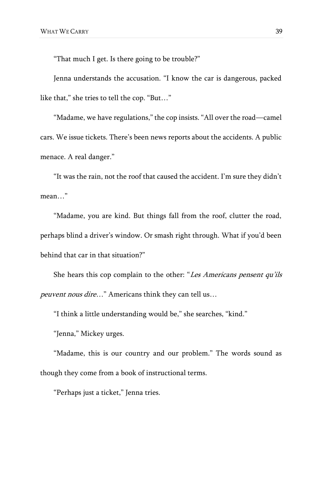"That much I get. Is there going to be trouble?"

Jenna understands the accusation. "I know the car is dangerous, packed like that," she tries to tell the cop. "But…"

"Madame, we have regulations," the cop insists. "All over the road—camel cars. We issue tickets. There's been news reports about the accidents. A public menace. A real danger."

"It was the rain, not the roof that caused the accident. I'm sure they didn't mean…"

"Madame, you are kind. But things fall from the roof, clutter the road, perhaps blind a driver's window. Or smash right through. What if you'd been behind that car in that situation?"

She hears this cop complain to the other: "Les Americans pensent qu'ils peuvent nous dire…" Americans think they can tell us…

"I think a little understanding would be," she searches, "kind."

"Jenna," Mickey urges.

"Madame, this is our country and our problem." The words sound as though they come from a book of instructional terms.

"Perhaps just a ticket," Jenna tries.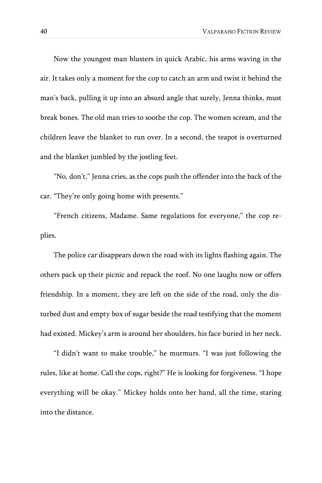Now the youngest man blusters in quick Arabic, his arms waving in the air. It takes only a moment for the cop to catch an arm and twist it behind the man's back, pulling it up into an absurd angle that surely, Jenna thinks, must break bones. The old man tries to soothe the cop. The women scream, and the children leave the blanket to run over. In a second, the teapot is overturned and the blanket jumbled by the jostling feet.

"No, don't," Jenna cries, as the cops push the offender into the back of the car. "They're only going home with presents."

"French citizens, Madame. Same regulations for everyone," the cop replies.

The police car disappears down the road with its lights flashing again. The others pack up their picnic and repack the roof. No one laughs now or offers friendship. In a moment, they are left on the side of the road, only the disturbed dust and empty box of sugar beside the road testifying that the moment had existed. Mickey's arm is around her shoulders, his face buried in her neck.

"I didn't want to make trouble," he murmurs. "I was just following the rules, like at home. Call the cops, right?" He is looking for forgiveness. "I hope everything will be okay." Mickey holds onto her hand, all the time, staring into the distance.